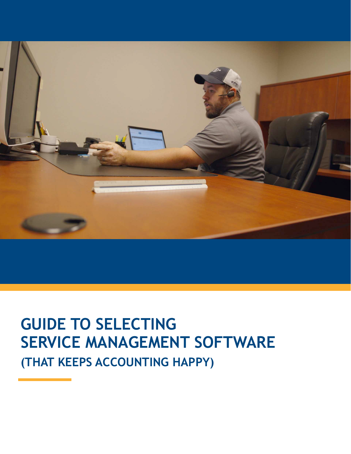

# **GUIDE TO SELECTING SERVICE MANAGEMENT SOFTWARE (THAT KEEPS ACCOUNTING HAPPY)**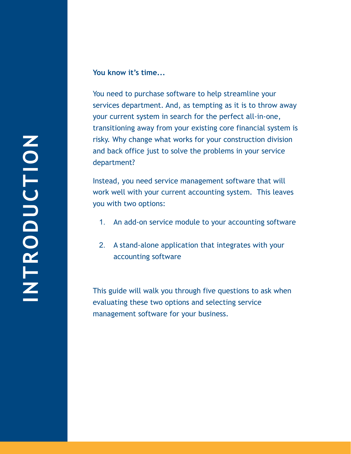#### **You know it's time...**

You need to purchase software to help streamline your services department. And, as tempting as it is to throw away your current system in search for the perfect all-in-one, transitioning away from your existing core financial system is risky. Why change what works for your construction division and back office just to solve the problems in your service department?

Instead, you need service management software that will work well with your current accounting system. This leaves you with two options:

- 1. An add-on service module to your accounting software
- 2. A stand-alone application that integrates with your accounting software

This guide will walk you through five questions to ask when evaluating these two options and selecting service management software for your business.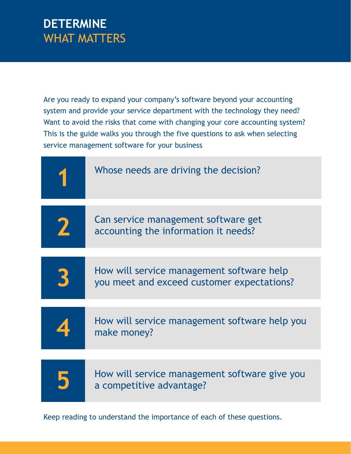#### **DETERMINE**  WHAT MATTERS

Are you ready to expand your company's software beyond your accounting system and provide your service department with the technology they need? Want to avoid the risks that come with changing your core accounting system? This is the guide walks you through the five questions to ask when selecting service management software for your business



Keep reading to understand the importance of each of these questions.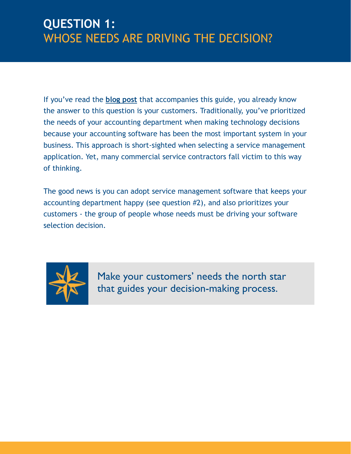#### **QUESTION 1:**  WHOSE NEEDS ARE DRIVING THE DECISION?

If you've read the **[blog post](https://www.servicetrade.com/2019/05/selecting-service-management-software/)** that accompanies this guide, you already know the answer to this question is your customers. Traditionally, you've prioritized the needs of your accounting department when making technology decisions because your accounting software has been the most important system in your business. This approach is short-sighted when selecting a service management application. Yet, many commercial service contractors fall victim to this way of thinking.

The good news is you can adopt service management software that keeps your accounting department happy (see question #2), and also prioritizes your customers - the group of people whose needs must be driving your software selection decision.



Make your customers' needs the north star that guides your decision-making process.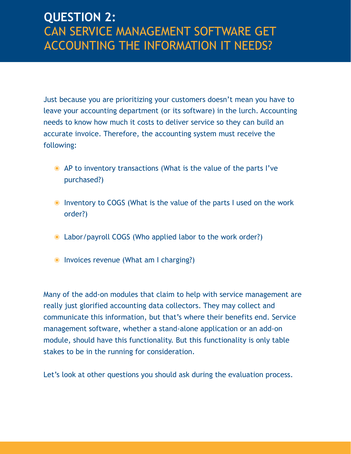## **QUESTION 2:**  CAN SERVICE MANAGEMENT SOFTWARE GET ACCOUNTING THE INFORMATION IT NEEDS?

Just because you are prioritizing your customers doesn't mean you have to leave your accounting department (or its software) in the lurch. Accounting needs to know how much it costs to deliver service so they can build an accurate invoice. Therefore, the accounting system must receive the following:

- ๏ AP to inventory transactions (What is the value of the parts I've purchased?)
- ๏ Inventory to COGS (What is the value of the parts I used on the work order?)
- ๏ Labor/payroll COGS (Who applied labor to the work order?)
- ๏ Invoices revenue (What am I charging?)

Many of the add-on modules that claim to help with service management are really just glorified accounting data collectors. They may collect and communicate this information, but that's where their benefits end. Service management software, whether a stand-alone application or an add-on module, should have this functionality. But this functionality is only table stakes to be in the running for consideration.

Let's look at other questions you should ask during the evaluation process.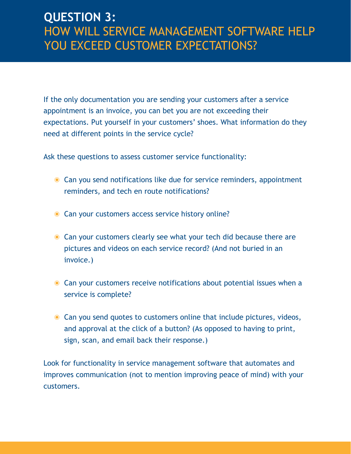#### **QUESTION 3:**  HOW WILL SERVICE MANAGEMENT SOFTWARE HELP YOU EXCEED CUSTOMER EXPECTATIONS?

If the only documentation you are sending your customers after a service appointment is an invoice, you can bet you are not exceeding their expectations. Put yourself in your customers' shoes. What information do they need at different points in the service cycle?

Ask these questions to assess customer service functionality:

- Can you send notifications like due for service reminders, appointment reminders, and tech en route notifications?
- Can your customers access service history online?
- Can your customers clearly see what your tech did because there are pictures and videos on each service record? (And not buried in an invoice.)
- Can your customers receive notifications about potential issues when a service is complete?
- ๏ Can you send quotes to customers online that include pictures, videos, and approval at the click of a button? (As opposed to having to print, sign, scan, and email back their response.)

Look for functionality in service management software that automates and improves communication (not to mention improving peace of mind) with your customers.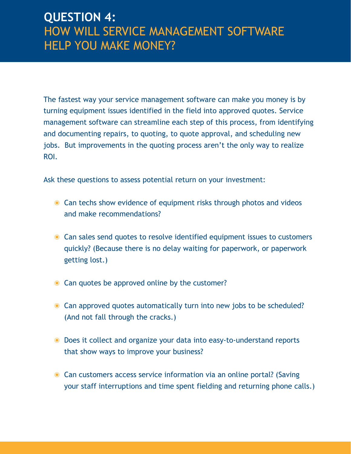## **QUESTION 4:**  HOW WILL SERVICE MANAGEMENT SOFTWARE HELP YOU MAKE MONEY?

The fastest way your service management software can make you money is by turning equipment issues identified in the field into approved quotes. Service management software can streamline each step of this process, from identifying and documenting repairs, to quoting, to quote approval, and scheduling new jobs. But improvements in the quoting process aren't the only way to realize ROI.

Ask these questions to assess potential return on your investment:

- Can techs show evidence of equipment risks through photos and videos and make recommendations?
- ๏ Can sales send quotes to resolve identified equipment issues to customers quickly? (Because there is no delay waiting for paperwork, or paperwork getting lost.)
- **Can quotes be approved online by the customer?**
- ๏ Can approved quotes automatically turn into new jobs to be scheduled? (And not fall through the cracks.)
- ๏ Does it collect and organize your data into easy-to-understand reports that show ways to improve your business?
- Can customers access service information via an online portal? (Saving your staff interruptions and time spent fielding and returning phone calls.)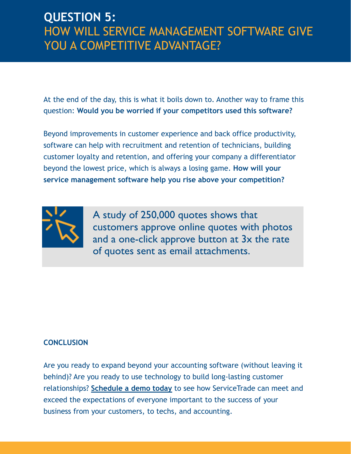## **QUESTION 5:**  HOW WILL SERVICE MANAGEMENT SOFTWARE GIVE YOU A COMPETITIVE ADVANTAGE?

At the end of the day, this is what it boils down to. Another way to frame this question: **Would you be worried if your competitors used this software?** 

Beyond improvements in customer experience and back office productivity, software can help with recruitment and retention of technicians, building customer loyalty and retention, and offering your company a differentiator beyond the lowest price, which is always a losing game. **How will your service management software help you rise above your competition?**



A study of 250,000 quotes shows that customers approve online quotes with photos and a one-click approve button at 3x the rate of quotes sent as email attachments.

#### **CONCLUSION**

Are you ready to expand beyond your accounting software (without leaving it behind)? Are you ready to use technology to build long-lasting customer relationships? **[Schedule a demo today](https://www.servicetrade.com/request-demo/)** to see how ServiceTrade can meet and exceed the expectations of everyone important to the success of your business from your customers, to techs, and accounting.